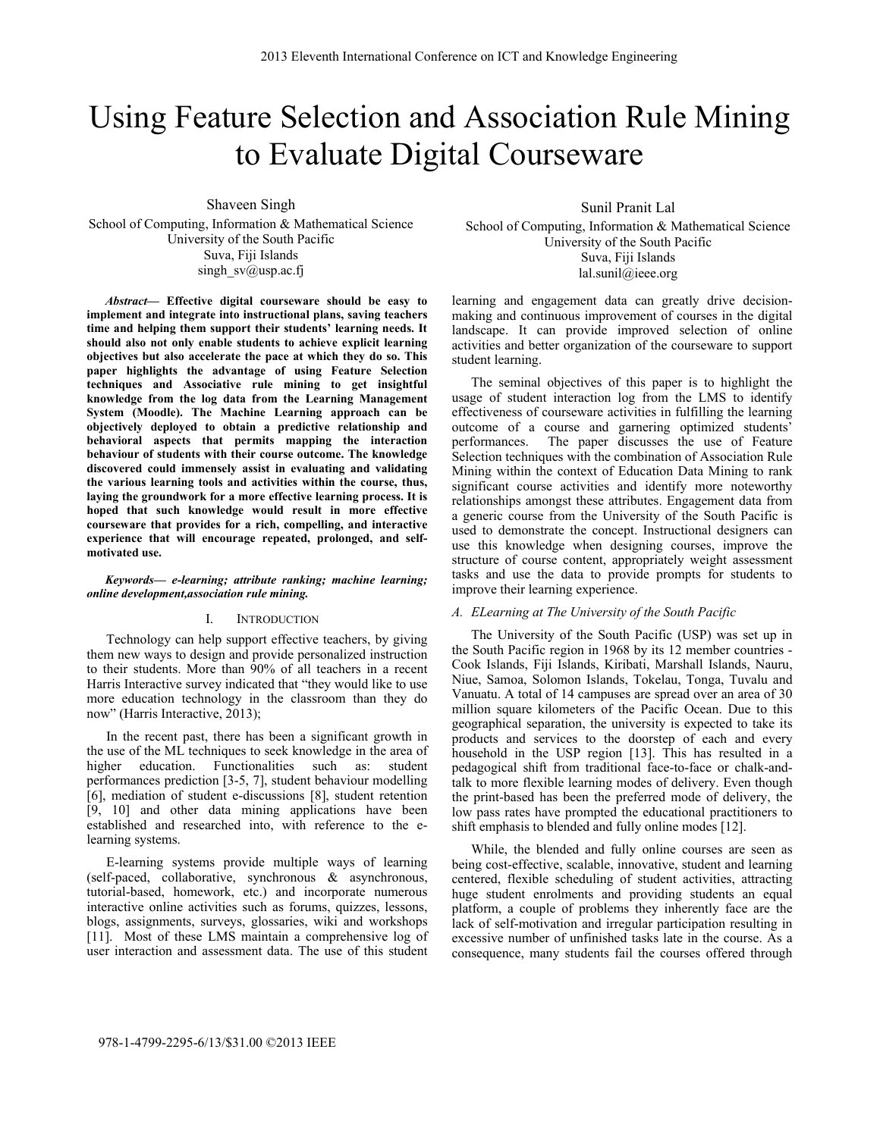# Using Feature Selection and Association Rule Mining to Evaluate Digital Courseware

Shaveen Singh School of Computing, Information & Mathematical Science University of the South Pacific Suva, Fiji Islands singh\_sv@usp.ac.fj

*Abstract***— Effective digital courseware should be easy to implement and integrate into instructional plans, saving teachers time and helping them support their students' learning needs. It should also not only enable students to achieve explicit learning objectives but also accelerate the pace at which they do so. This paper highlights the advantage of using Feature Selection techniques and Associative rule mining to get insightful knowledge from the log data from the Learning Management System (Moodle). The Machine Learning approach can be objectively deployed to obtain a predictive relationship and behavioral aspects that permits mapping the interaction behaviour of students with their course outcome. The knowledge discovered could immensely assist in evaluating and validating the various learning tools and activities within the course, thus, laying the groundwork for a more effective learning process. It is hoped that such knowledge would result in more effective courseware that provides for a rich, compelling, and interactive experience that will encourage repeated, prolonged, and selfmotivated use.** 

## *Keywords— e-learning; attribute ranking; machine learning; online development,association rule mining.*

## I. INTRODUCTION

Technology can help support effective teachers, by giving them new ways to design and provide personalized instruction to their students. More than 90% of all teachers in a recent Harris Interactive survey indicated that "they would like to use more education technology in the classroom than they do now" (Harris Interactive, 2013);

In the recent past, there has been a significant growth in the use of the ML techniques to seek knowledge in the area of higher education. Functionalities such as: student performances prediction [3-5, 7], student behaviour modelling [6], mediation of student e-discussions [8], student retention [9, 10] and other data mining applications have been established and researched into, with reference to the elearning systems.

E-learning systems provide multiple ways of learning (self-paced, collaborative, synchronous & asynchronous, tutorial-based, homework, etc.) and incorporate numerous interactive online activities such as forums, quizzes, lessons, blogs, assignments, surveys, glossaries, wiki and workshops [11]. Most of these LMS maintain a comprehensive log of user interaction and assessment data. The use of this student

Sunil Pranit Lal School of Computing, Information & Mathematical Science University of the South Pacific Suva, Fiji Islands lal.sunil@ieee.org

learning and engagement data can greatly drive decisionmaking and continuous improvement of courses in the digital landscape. It can provide improved selection of online activities and better organization of the courseware to support student learning.

The seminal objectives of this paper is to highlight the usage of student interaction log from the LMS to identify effectiveness of courseware activities in fulfilling the learning outcome of a course and garnering optimized students' performances. The paper discusses the use of Feature Selection techniques with the combination of Association Rule Mining within the context of Education Data Mining to rank significant course activities and identify more noteworthy relationships amongst these attributes. Engagement data from a generic course from the University of the South Pacific is used to demonstrate the concept. Instructional designers can use this knowledge when designing courses, improve the structure of course content, appropriately weight assessment tasks and use the data to provide prompts for students to improve their learning experience.

#### *A. ELearning at The University of the South Pacific*

 The University of the South Pacific (USP) was set up in the South Pacific region in 1968 by its 12 member countries - Cook Islands, Fiji Islands, Kiribati, Marshall Islands, Nauru, Niue, Samoa, Solomon Islands, Tokelau, Tonga, Tuvalu and Vanuatu. A total of 14 campuses are spread over an area of 30 million square kilometers of the Pacific Ocean. Due to this geographical separation, the university is expected to take its products and services to the doorstep of each and every household in the USP region [13]. This has resulted in a pedagogical shift from traditional face-to-face or chalk-andtalk to more flexible learning modes of delivery. Even though the print-based has been the preferred mode of delivery, the low pass rates have prompted the educational practitioners to shift emphasis to blended and fully online modes [12].

While, the blended and fully online courses are seen as being cost-effective, scalable, innovative, student and learning centered, flexible scheduling of student activities, attracting huge student enrolments and providing students an equal platform, a couple of problems they inherently face are the lack of self-motivation and irregular participation resulting in excessive number of unfinished tasks late in the course. As a consequence, many students fail the courses offered through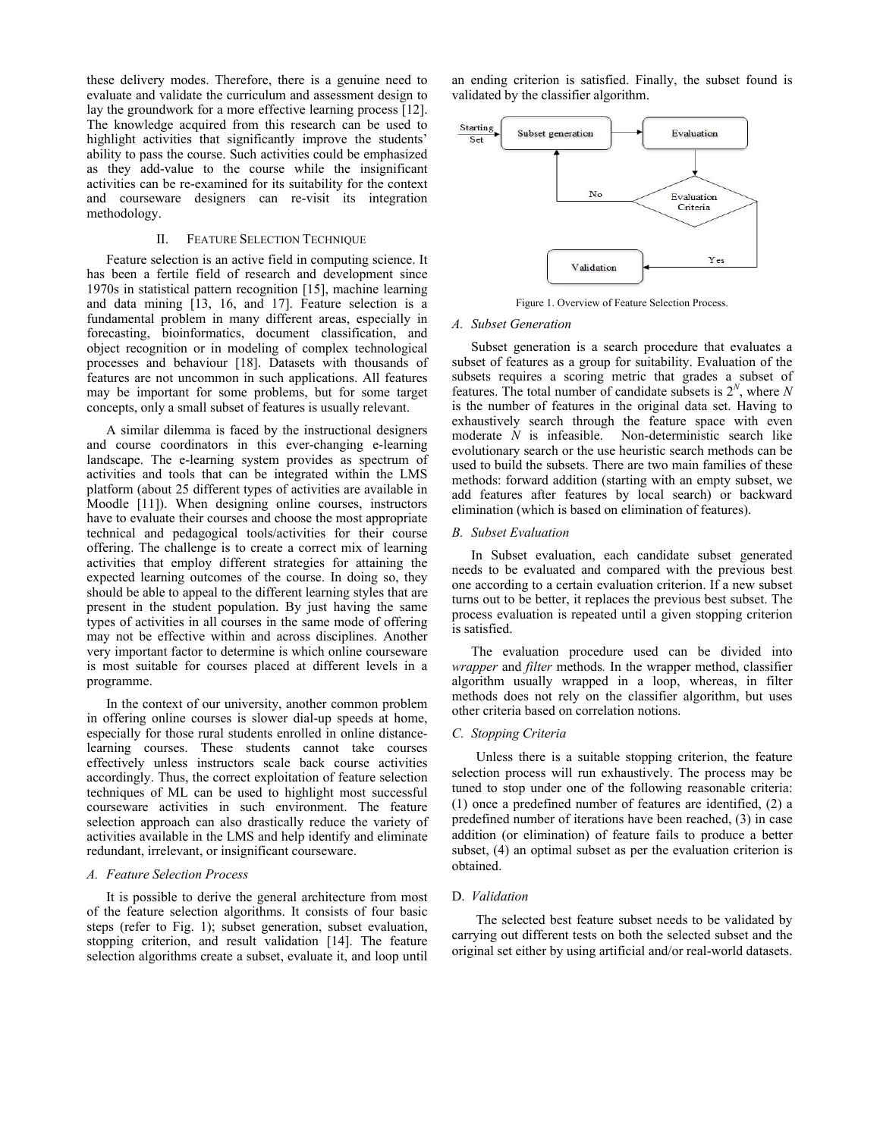these delivery modes. Therefore, there is a genuine need to evaluate and validate the curriculum and assessment design to lay the groundwork for a more effective learning process [12]. The knowledge acquired from this research can be used to highlight activities that significantly improve the students' ability to pass the course. Such activities could be emphasized as they add-value to the course while the insignificant activities can be re-examined for its suitability for the context and courseware designers can re-visit its integration methodology.

## II. FEATURE SELECTION TECHNIQUE

Feature selection is an active field in computing science. It has been a fertile field of research and development since 1970s in statistical pattern recognition [15], machine learning and data mining [13, 16, and 17]. Feature selection is a fundamental problem in many different areas, especially in forecasting, bioinformatics, document classification, and object recognition or in modeling of complex technological processes and behaviour [18]. Datasets with thousands of features are not uncommon in such applications. All features may be important for some problems, but for some target concepts, only a small subset of features is usually relevant.

A similar dilemma is faced by the instructional designers and course coordinators in this ever-changing e-learning landscape. The e-learning system provides as spectrum of activities and tools that can be integrated within the LMS platform (about 25 different types of activities are available in Moodle [11]). When designing online courses, instructors have to evaluate their courses and choose the most appropriate technical and pedagogical tools/activities for their course offering. The challenge is to create a correct mix of learning activities that employ different strategies for attaining the expected learning outcomes of the course. In doing so, they should be able to appeal to the different learning styles that are present in the student population. By just having the same types of activities in all courses in the same mode of offering may not be effective within and across disciplines. Another very important factor to determine is which online courseware is most suitable for courses placed at different levels in a programme.

 In the context of our university, another common problem in offering online courses is slower dial-up speeds at home, especially for those rural students enrolled in online distancelearning courses. These students cannot take courses effectively unless instructors scale back course activities accordingly. Thus, the correct exploitation of feature selection techniques of ML can be used to highlight most successful courseware activities in such environment. The feature selection approach can also drastically reduce the variety of activities available in the LMS and help identify and eliminate redundant, irrelevant, or insignificant courseware.

#### *A. Feature Selection Process*

It is possible to derive the general architecture from most of the feature selection algorithms. It consists of four basic steps (refer to Fig. 1); subset generation, subset evaluation, stopping criterion, and result validation [14]. The feature selection algorithms create a subset, evaluate it, and loop until

an ending criterion is satisfied. Finally, the subset found is validated by the classifier algorithm.



Figure 1. Overview of Feature Selection Process.

#### *A. Subset Generation*

 Subset generation is a search procedure that evaluates a subset of features as a group for suitability. Evaluation of the subsets requires a scoring metric that grades a subset of features. The total number of candidate subsets is  $2^N$ , where N is the number of features in the original data set. Having to exhaustively search through the feature space with even moderate *N* is infeasible. Non-deterministic search like evolutionary search or the use heuristic search methods can be used to build the subsets. There are two main families of these methods: forward addition (starting with an empty subset, we add features after features by local search) or backward elimination (which is based on elimination of features).

#### *B. Subset Evaluation*

In Subset evaluation, each candidate subset generated needs to be evaluated and compared with the previous best one according to a certain evaluation criterion. If a new subset turns out to be better, it replaces the previous best subset. The process evaluation is repeated until a given stopping criterion is satisfied.

The evaluation procedure used can be divided into *wrapper* and *filter* methods*.* In the wrapper method, classifier algorithm usually wrapped in a loop, whereas, in filter methods does not rely on the classifier algorithm, but uses other criteria based on correlation notions.

## *C. Stopping Criteria*

Unless there is a suitable stopping criterion, the feature selection process will run exhaustively. The process may be tuned to stop under one of the following reasonable criteria: (1) once a predefined number of features are identified, (2) a predefined number of iterations have been reached, (3) in case addition (or elimination) of feature fails to produce a better subset, (4) an optimal subset as per the evaluation criterion is obtained.

#### D. *Validation*

The selected best feature subset needs to be validated by carrying out different tests on both the selected subset and the original set either by using artificial and/or real-world datasets.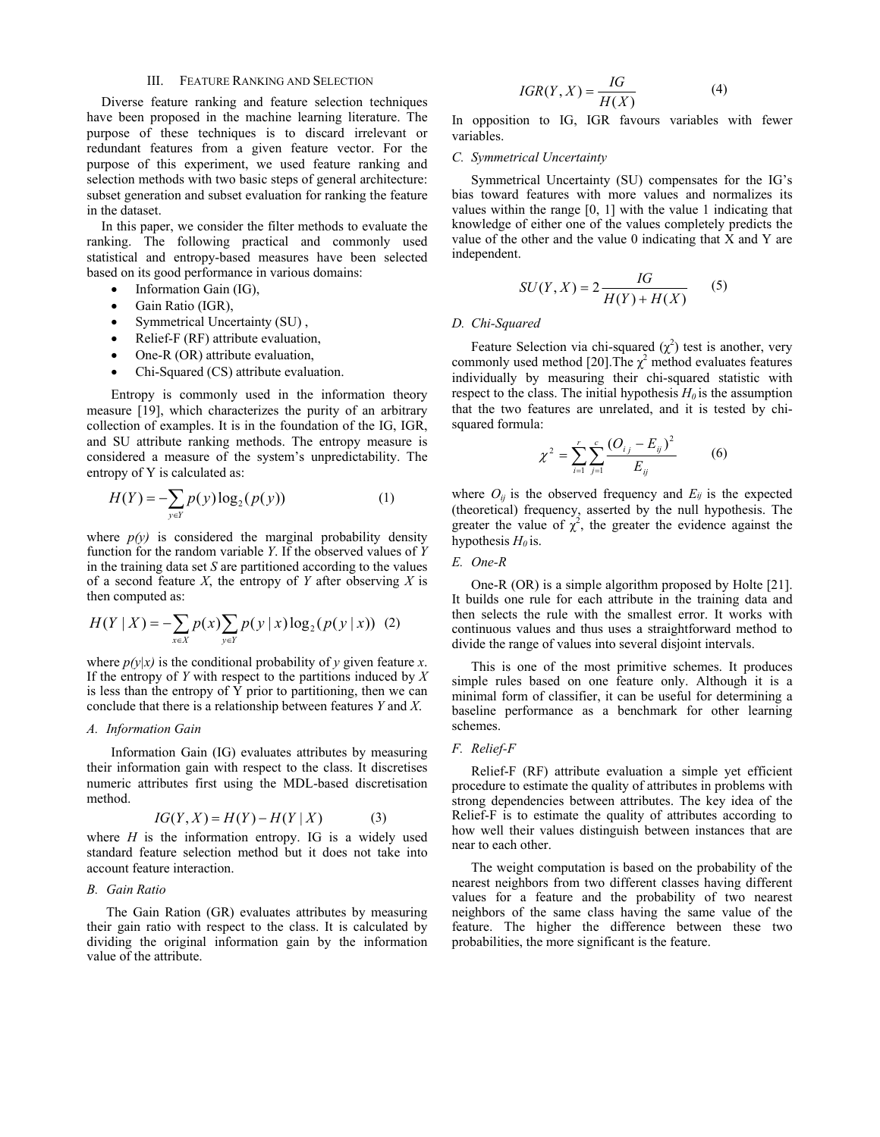# III. FEATURE RANKING AND SELECTION

Diverse feature ranking and feature selection techniques have been proposed in the machine learning literature. The purpose of these techniques is to discard irrelevant or redundant features from a given feature vector. For the purpose of this experiment, we used feature ranking and selection methods with two basic steps of general architecture: subset generation and subset evaluation for ranking the feature in the dataset.

In this paper, we consider the filter methods to evaluate the ranking. The following practical and commonly used statistical and entropy-based measures have been selected based on its good performance in various domains:

- $\bullet$  Information Gain (IG),
- $\bullet$  Gain Ratio (IGR),
- Symmetrical Uncertainty  $(SU)$ ,
- $\bullet$  Relief-F (RF) attribute evaluation,
- $\bullet$  One-R (OR) attribute evaluation,
- Chi-Squared (CS) attribute evaluation.

Entropy is commonly used in the information theory measure [19], which characterizes the purity of an arbitrary collection of examples. It is in the foundation of the IG, IGR, and SU attribute ranking methods. The entropy measure is considered a measure of the system's unpredictability. The entropy of Y is calculated as:

$$
H(Y) = -\sum_{y \in Y} p(y) \log_2(p(y))
$$
 (1)

where  $p(y)$  is considered the marginal probability density function for the random variable *Y*. If the observed values of *Y* in the training data set *S* are partitioned according to the values of a second feature *X*, the entropy of *Y* after observing *X* is then computed as:

$$
H(Y | X) = -\sum_{x \in X} p(x) \sum_{y \in Y} p(y | x) \log_2(p(y | x)) \tag{2}
$$

where  $p(y|x)$  is the conditional probability of *y* given feature *x*. If the entropy of *Y* with respect to the partitions induced by *X* is less than the entropy of Y prior to partitioning, then we can conclude that there is a relationship between features *Y* and *X*.

## *A. Information Gain*

Information Gain (IG) evaluates attributes by measuring their information gain with respect to the class. It discretises numeric attributes first using the MDL-based discretisation method.

$$
IG(Y, X) = H(Y) - H(Y | X)
$$
 (3)

where  $H$  is the information entropy. IG is a widely used standard feature selection method but it does not take into account feature interaction.

## *B. Gain Ratio*

The Gain Ration (GR) evaluates attributes by measuring their gain ratio with respect to the class. It is calculated by dividing the original information gain by the information value of the attribute.

$$
IGR(Y, X) = \frac{IG}{H(X)}
$$
(4)

In opposition to IG, IGR favours variables with fewer variables.

#### *C. Symmetrical Uncertainty*

 Symmetrical Uncertainty (SU) compensates for the IG's bias toward features with more values and normalizes its values within the range [0, 1] with the value 1 indicating that knowledge of either one of the values completely predicts the value of the other and the value 0 indicating that X and Y are independent.

$$
SU(Y, X) = 2\frac{IG}{H(Y) + H(X)}\tag{5}
$$

## *D. Chi-Squared*

Feature Selection via chi-squared  $(\chi^2)$  test is another, very commonly used method [20]. The  $\chi^2$  method evaluates features individually by measuring their chi-squared statistic with respect to the class. The initial hypothesis  $H_0$  is the assumption that the two features are unrelated, and it is tested by chisquared formula:

$$
\chi^2 = \sum_{i=1}^r \sum_{j=1}^c \frac{(O_{ij} - E_{ij})^2}{E_{ij}} \tag{6}
$$

where  $O_{ij}$  is the observed frequency and  $E_{ij}$  is the expected (theoretical) frequency, asserted by the null hypothesis. The greater the value of  $\chi^2$ , the greater the evidence against the hypothesis  $H_0$  is.

# *E. One-R*

One-R (OR) is a simple algorithm proposed by Holte [21]. It builds one rule for each attribute in the training data and then selects the rule with the smallest error. It works with continuous values and thus uses a straightforward method to divide the range of values into several disjoint intervals.

This is one of the most primitive schemes. It produces simple rules based on one feature only. Although it is a minimal form of classifier, it can be useful for determining a baseline performance as a benchmark for other learning schemes.

## *F. Relief-F*

Relief-F (RF) attribute evaluation a simple yet efficient procedure to estimate the quality of attributes in problems with strong dependencies between attributes. The key idea of the Relief-F is to estimate the quality of attributes according to how well their values distinguish between instances that are near to each other.

The weight computation is based on the probability of the nearest neighbors from two different classes having different values for a feature and the probability of two nearest neighbors of the same class having the same value of the feature. The higher the difference between these two probabilities, the more significant is the feature.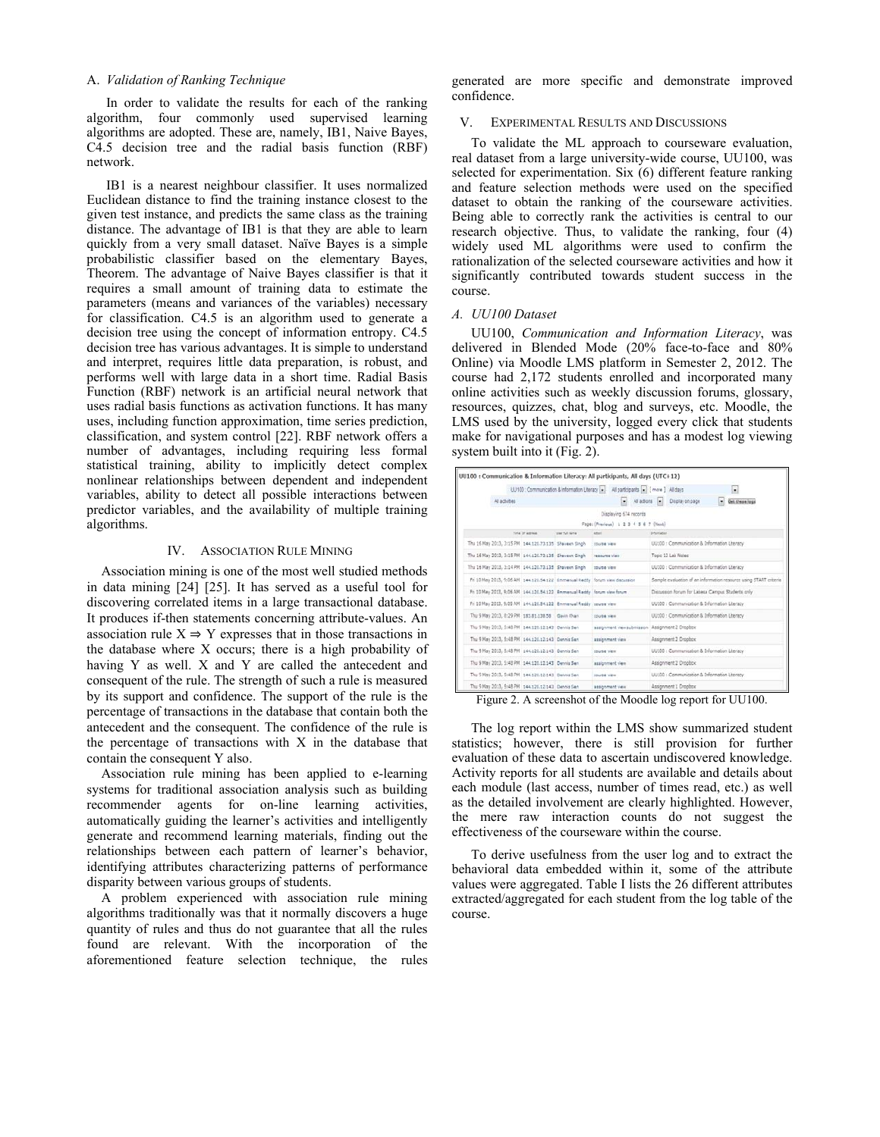# A. *Validation of Ranking Technique*

In order to validate the results for each of the ranking algorithm, four commonly used supervised learning algorithms are adopted. These are, namely, IB1, Naive Bayes, C4.5 decision tree and the radial basis function (RBF) network.

IB1 is a nearest neighbour classifier. It uses normalized Euclidean distance to find the training instance closest to the given test instance, and predicts the same class as the training distance. The advantage of IB1 is that they are able to learn quickly from a very small dataset. Naïve Bayes is a simple probabilistic classifier based on the elementary Bayes, Theorem. The advantage of Naive Bayes classifier is that it requires a small amount of training data to estimate the parameters (means and variances of the variables) necessary for classification. C4.5 is an algorithm used to generate a decision tree using the concept of information entropy. C4.5 decision tree has various advantages. It is simple to understand and interpret, requires little data preparation, is robust, and performs well with large data in a short time. Radial Basis Function (RBF) network is an artificial neural network that uses radial basis functions as activation functions. It has many uses, including function approximation, time series prediction, classification, and system control [22]. RBF network offers a number of advantages, including requiring less formal statistical training, ability to implicitly detect complex nonlinear relationships between dependent and independent variables, ability to detect all possible interactions between predictor variables, and the availability of multiple training algorithms.

# IV. ASSOCIATION RULE MINING

Association mining is one of the most well studied methods in data mining [24] [25]. It has served as a useful tool for discovering correlated items in a large transactional database. It produces if-then statements concerning attribute-values. An association rule  $X \Rightarrow Y$  expresses that in those transactions in the database where X occurs; there is a high probability of having Y as well. X and Y are called the antecedent and consequent of the rule. The strength of such a rule is measured by its support and confidence. The support of the rule is the percentage of transactions in the database that contain both the antecedent and the consequent. The confidence of the rule is the percentage of transactions with X in the database that contain the consequent Y also.

Association rule mining has been applied to e-learning systems for traditional association analysis such as building recommender agents for on-line learning activities, automatically guiding the learner's activities and intelligently generate and recommend learning materials, finding out the relationships between each pattern of learner's behavior, identifying attributes characterizing patterns of performance disparity between various groups of students.

A problem experienced with association rule mining algorithms traditionally was that it normally discovers a huge quantity of rules and thus do not guarantee that all the rules found are relevant. With the incorporation of the aforementioned feature selection technique, the rules generated are more specific and demonstrate improved confidence.

# V. EXPERIMENTAL RESULTS AND DISCUSSIONS

To validate the ML approach to courseware evaluation, real dataset from a large university-wide course, UU100, was selected for experimentation. Six (6) different feature ranking and feature selection methods were used on the specified dataset to obtain the ranking of the courseware activities. Being able to correctly rank the activities is central to our research objective. Thus, to validate the ranking, four (4) widely used ML algorithms were used to confirm the rationalization of the selected courseware activities and how it significantly contributed towards student success in the course.

# *A. UU100 Dataset*

UU100, *Communication and Information Literacy*, was delivered in Blended Mode (20% face-to-face and 80% Online) via Moodle LMS platform in Semester 2, 2012. The course had 2,172 students enrolled and incorporated many online activities such as weekly discussion forums, glossary, resources, quizzes, chat, blog and surveys, etc. Moodle, the LMS used by the university, logged every click that students make for navigational purposes and has a modest log viewing system built into it (Fig. 2).

|                                                                              |                  |                        | UU100: Communication & Information Literacy [m] All participants [m] [ more ] All days | ٠                                                                 |  |  |  |
|------------------------------------------------------------------------------|------------------|------------------------|----------------------------------------------------------------------------------------|-------------------------------------------------------------------|--|--|--|
| All activities                                                               |                  |                        |                                                                                        | - All actions - Display on page<br>Get these logs<br>l e l        |  |  |  |
|                                                                              |                  |                        | Displaying 674 records                                                                 |                                                                   |  |  |  |
|                                                                              |                  |                        | Fage: (Previous) 1 2 3 4 5 6 7 (Next)                                                  |                                                                   |  |  |  |
|                                                                              | Total 37 address | <b>Star full name:</b> | <b>School</b>                                                                          | <b>Schimation</b>                                                 |  |  |  |
| Thu 16 May 2013, 3:15 PM 144.120.73.135 Shaveen Singh                        |                  |                        | course yiew                                                                            | UU100 : Communication & Information Literacy                      |  |  |  |
| Thu 16 May 2013, 3:15 PM 144.120.73.135 Shaveen Singh                        |                  |                        | resource view.                                                                         | Topic 12 Lab Notes                                                |  |  |  |
| Thu 16 May 2013, 3:14 PM 144.120.73.135 Shaveen Singh                        |                  |                        | course view                                                                            | UU100 : Communication & Information Literacy                      |  |  |  |
| Fri 10 May 2013, 9:06 AM 144.120.54.122 Emmanual Raddy forum view discussion |                  |                        |                                                                                        | Sample evaluation of an information resource using START criteria |  |  |  |
| Fri 10 May 2013, 9:06 AM 144.120.54.122 Emmenual Raddy Forum view forum      |                  |                        |                                                                                        | Discussion Forum for Labasa Campus Students only                  |  |  |  |
| Fri 10 May 2013, 9:05 AM 144.120.54.122 Emmenual Reddy course view           |                  |                        |                                                                                        | UU100 : Communication & Information Literacy                      |  |  |  |
| Thu 9 May 2013, 8:29 PM 183.81.138.58 Gavin Khan                             |                  |                        | course view                                                                            | UU100 : Communication & Information Literacy                      |  |  |  |
| Thu 9 May 2013, 5:48 PM 144.120.12.143 Dennis Sen                            |                  |                        | assignment view submission Assignment 2 Dropbox                                        |                                                                   |  |  |  |
| Thu 9 Hay 2013, 5:48 PH 144.120.12.143 Dannis San                            |                  |                        | assignment view.                                                                       | Assignment 2 Dropbox                                              |  |  |  |
| Thu 9 May 2013, 5:48 PM 144.120.12.143 Dannis Sen                            |                  |                        | neurea view                                                                            | UU100 : Communication & Information Literacy                      |  |  |  |
| Thu 9 May 2013, 5:48 PM 144.120.12.143 Dennis Sen                            |                  |                        | new trainingizza                                                                       | Assignment 2 Dropbox                                              |  |  |  |
| Thu 9 May 2013, 5:48 PM 144.120.12.143 Dannis Sen                            |                  |                        | <b>MUZEA VALU</b>                                                                      | UU100 : Communication & Information Literacy                      |  |  |  |
| Thu 9 May 2013, 5:48 PM 144.120.12.143 Dennis Sen                            |                  |                        | assignment year                                                                        | Assignment 1 Dropbox                                              |  |  |  |

Figure 2. A screenshot of the Moodle log report for UU100.

The log report within the LMS show summarized student statistics; however, there is still provision for further evaluation of these data to ascertain undiscovered knowledge. Activity reports for all students are available and details about each module (last access, number of times read, etc.) as well as the detailed involvement are clearly highlighted. However, the mere raw interaction counts do not suggest the effectiveness of the courseware within the course.

To derive usefulness from the user log and to extract the behavioral data embedded within it, some of the attribute values were aggregated. Table I lists the 26 different attributes extracted/aggregated for each student from the log table of the course.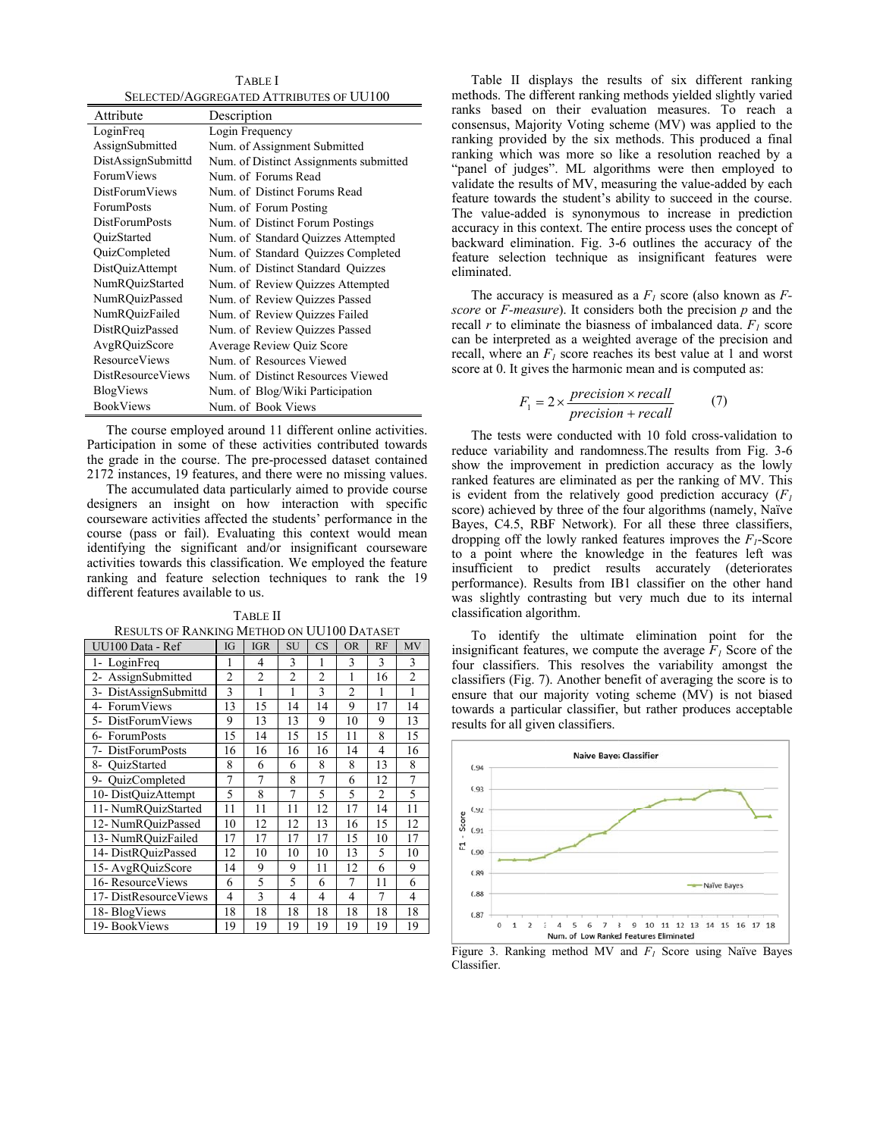**TABLE** I SELECTED/AGGREGATED ATTRIBUTES OF UU100

| Attribute                | Description                            |
|--------------------------|----------------------------------------|
| LoginFreq                | Login Frequency                        |
| AssignSubmitted          | Num. of Assignment Submitted           |
| DistAssignSubmittd       | Num. of Distinct Assignments submitted |
| ForumViews               | Num. of Forums Read                    |
| <b>DistForumViews</b>    | Num. of Distinct Forums Read           |
| <b>ForumPosts</b>        | Num. of Forum Posting                  |
| <b>DistForumPosts</b>    | Num. of Distinct Forum Postings        |
| OuizStarted              | Num. of Standard Quizzes Attempted     |
| QuizCompleted            | Num. of Standard Quizzes Completed     |
| DistQuizAttempt          | Num. of Distinct Standard Quizzes      |
| NumRQuizStarted          | Num. of Review Quizzes Attempted       |
| NumRQuizPassed           | Num. of Review Quizzes Passed          |
| NumRQuizFailed           | Num. of Review Quizzes Failed          |
| DistROuizPassed          | Num. of Review Ouizzes Passed          |
| AvgRQuizScore            | Average Review Quiz Score              |
| <b>ResourceViews</b>     | Num of Resources Viewed                |
| <b>DistResourceViews</b> | Num. of Distinct Resources Viewed      |
| <b>BlogViews</b>         | Num. of Blog/Wiki Participation        |
| <b>BookViews</b>         | Num. of Book Views                     |

The course employed around 11 different online activities. Participation in some of these activities contributed towards the grade in the course. The pre-processed dataset contained 2172 instances, 19 features, and there were no missing values.

The accumulated data particularly aimed to provide course designers an insight on how interaction with specific courseware activities affected the students' performance in the course (pass or fail). Evaluating this context would mean identifying the significant and/or insignificant courseware activities towards this classification. We employed the feature ranking and feature selection techniques to rank the 19 different features available to us.

| TABLE II                                          |
|---------------------------------------------------|
| <b>RESULTS OF RANKING METHOD ON UU100 DATASET</b> |

| UU100 Data - Ref      | IG             | <b>IGR</b>     | <b>SU</b>      | CS             | <b>OR</b>      | <b>RF</b>      | MV             |
|-----------------------|----------------|----------------|----------------|----------------|----------------|----------------|----------------|
| 1- LoginFreq          | 1              | 4              | 3              | 1              | 3              | 3              | 3              |
| 2- AssignSubmitted    | $\overline{2}$ | $\mathfrak{D}$ | $\mathfrak{D}$ | $\overline{2}$ | 1              | 16             | $\mathfrak{D}$ |
| 3- DistAssignSubmittd | 3              | 1              | 1              | 3              | $\overline{c}$ | 1              |                |
| ForumViews<br>4-      | 13             | 15             | 14             | 14             | 9              | 17             | 14             |
| 5- DistForumViews     | 9              | 13             | 13             | 9              | 10             | 9              | 13             |
| ForumPosts<br>6-      | 15             | 14             | 15             | 15             | 11             | 8              | 15             |
| 7- DistForumPosts     | 16             | 16             | 16             | 16             | 14             | 4              | 16             |
| OuizStarted<br>8-     | 8              | 6              | 6              | 8              | 8              | 13             | 8              |
| QuizCompleted<br>9-   | 7              | 7              | 8              | 7              | 6              | 12             | 7              |
| 10- DistOuizAttempt   | $\overline{5}$ | 8              | 7              | 5              | 5              | $\overline{2}$ | $\overline{5}$ |
| 11- NumRQuizStarted   | 11             | 11             | 11             | 12             | 17             | 14             | 11             |
| 12- NumRQuizPassed    | 10             | 12             | 12             | 13             | 16             | 15             | 12             |
| 13- NumRQuizFailed    | 17             | 17             | 17             | 17             | 15             | 10             | 17             |
| 14- DistRQuizPassed   | 12             | 10             | 10             | 10             | 13             | 5              | 10             |
| 15- AvgRQuizScore     | 14             | 9              | 9              | 11             | 12             | 6              | 9              |
| 16-ResourceViews      | 6              | 5              | 5              | 6              | 7              | 11             | 6              |
| 17- DistResourceViews | $\overline{4}$ | 3              | $\overline{4}$ | $\overline{4}$ | 4              | 7              | $\overline{4}$ |
| 18-BlogViews          | 18             | 18             | 18             | 18             | 18             | 18             | 18             |
| 19-BookViews          | 19             | 19             | 19             | 19             | 19             | 19             | 19             |

Table II displays the results of six different ranking methods. The different ranking methods yielded slightly varied ranks based on their evaluation measures. To reach a consensus, Majority Voting scheme (MV) was applied to the ranking provided by the six methods. This produced a final ranking which was more so like a resolution reached by a "panel of judges". ML algorithms were then employed to validate the results of MV, measuring the value-added by each feature towards the student's ability to succeed in the course. The value-added is synonymous to increase in prediction accuracy in this context. The entire process uses the concept of backward elimination. Fig. 3-6 outlines the accuracy of the feature selection technique as insignificant features were eliminated.

The accuracy is measured as a  $F_1$  score (also known as  $F_2$ score or  $F$ -measure). It considers both the precision  $p$  and the recall r to eliminate the biasness of imbalanced data.  $F_l$  score can be interpreted as a weighted average of the precision and recall, where an  $F<sub>l</sub>$  score reaches its best value at 1 and worst score at 0. It gives the harmonic mean and is computed as:

$$
F_1 = 2 \times \frac{precision \times recall}{precision + recall}
$$
 (7)

The tests were conducted with 10 fold cross-validation to reduce variability and randomness. The results from Fig. 3-6 show the improvement in prediction accuracy as the lowly ranked features are eliminated as per the ranking of MV. This is evident from the relatively good prediction accuracy  $(F<sub>1</sub>)$ score) achieved by three of the four algorithms (namely, Naïve Bayes, C4.5, RBF Network). For all these three classifiers, dropping off the lowly ranked features improves the  $F_t$ -Score to a point where the knowledge in the features left was insufficient to predict results accurately (deteriorates performance). Results from IB1 classifier on the other hand was slightly contrasting but very much due to its internal classification algorithm.

To identify the ultimate elimination point for the insignificant features, we compute the average  $F_i$  Score of the four classifiers. This resolves the variability amongst the classifiers (Fig. 7). Another benefit of averaging the score is to ensure that our majority voting scheme (MV) is not biased towards a particular classifier, but rather produces acceptable results for all given classifiers.



Classifier.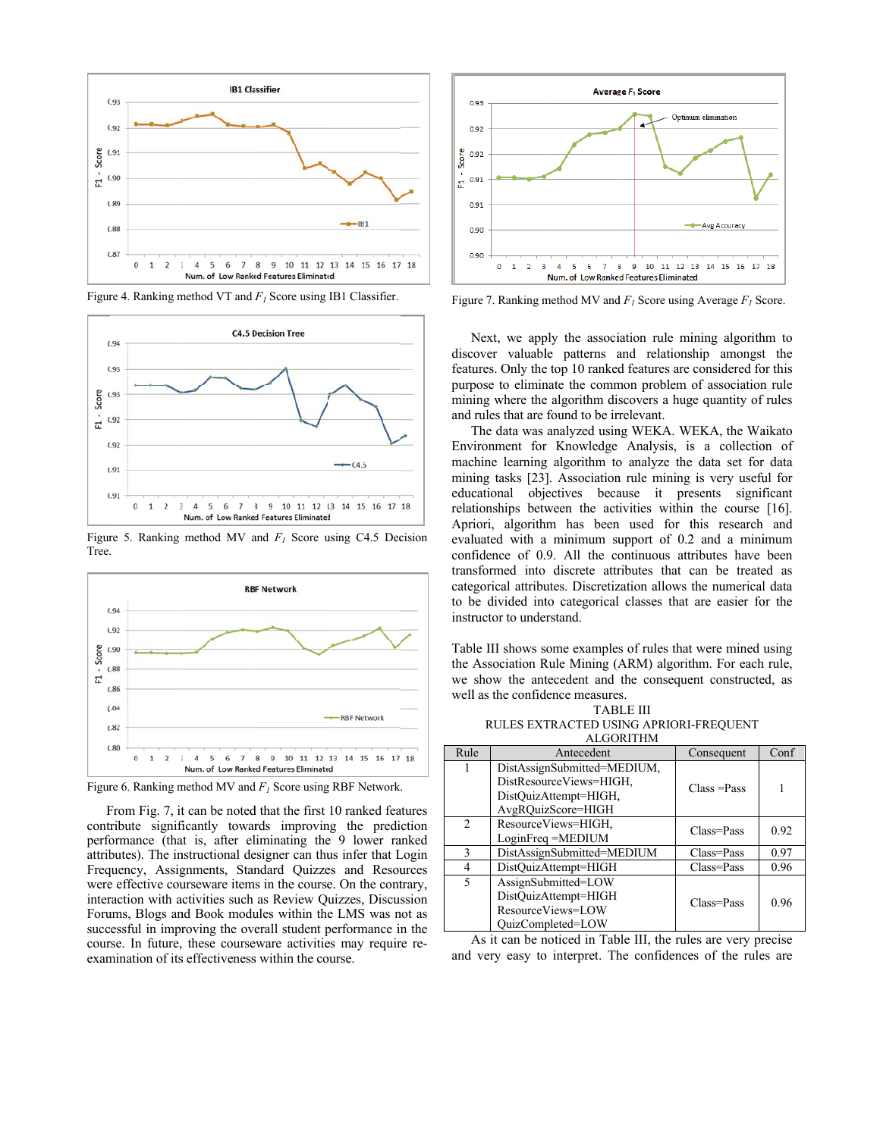

Figure 4. Ranking method VT and  $F<sub>l</sub>$  Score using IB1 Classifier.



Figure 5. Ranking method MV and  $F_I$  Score using C4.5 Decision Tree.



Figure 6. Ranking method MV and  $F_I$  Score using RBF Network.

From Fig. 7, it can be noted that the first 10 ranked features contribute significantly towards improving the prediction performance (that is, after eliminating the 9 lower ranked attributes). The instructional designer can thus infer that Login Frequency, Assignments, Standard Quizzes and Resources were effective courseware items in the course. On the contrary, interaction with activities such as Review Quizzes, Discussion Forums, Blogs and Book modules within the LMS was not as successful in improving the overall student performance in the course. In future, these courseware activities may require reexamination of its effectiveness within the course.



Figure 7. Ranking method MV and  $F<sub>l</sub>$  Score using Average  $F<sub>l</sub>$  Score.

Next, we apply the association rule mining algorithm to discover valuable patterns and relationship amongst the features. Only the top 10 ranked features are considered for this purpose to eliminate the common problem of association rule mining where the algorithm discovers a huge quantity of rules and rules that are found to be irrelevant.

The data was analyzed using WEKA. WEKA, the Waikato Environment for Knowledge Analysis, is a collection of machine learning algorithm to analyze the data set for data mining tasks [23]. Association rule mining is very useful for educational objectives because it presents significant relationships between the activities within the course [16]. Apriori, algorithm has been used for this research and evaluated with a minimum support of 0.2 and a minimum confidence of 0.9. All the continuous attributes have been transformed into discrete attributes that can be treated as categorical attributes. Discretization allows the numerical data to be divided into categorical classes that are easier for the instructor to understand.

Table III shows some examples of rules that were mined using the Association Rule Mining (ARM) algorithm. For each rule, we show the antecedent and the consequent constructed, as well as the confidence measures.

**TABLE III** RULES EXTRACTED USING APRIORI-FREQUENT

|      | <b>ALGORITHM</b>                                                                                      |                |      |
|------|-------------------------------------------------------------------------------------------------------|----------------|------|
| Rule | Antecedent                                                                                            | Consequent     | Conf |
|      | DistAssignSubmitted=MEDIUM,<br>DistResourceViews=HIGH,<br>DistQuizAttempt=HIGH,<br>AvgRQuizScore=HIGH | $Class = Pass$ |      |
| 2    | ResourceViews=HIGH,<br>LoginFreq =MEDIUM                                                              | Class=Pass     | 0.92 |
| 3    | DistAssignSubmitted=MEDIUM                                                                            | Class=Pass     | 0.97 |
| 4    | DistOuizAttempt=HIGH                                                                                  | Class=Pass     | 0.96 |
| 5    | AssignSubmitted=LOW<br>DistQuizAttempt=HIGH<br>ResourceViews=LOW<br>QuizCompleted=LOW                 | Class=Pass     | 0.96 |

As it can be noticed in Table III, the rules are very precise and very easy to interpret. The confidences of the rules are